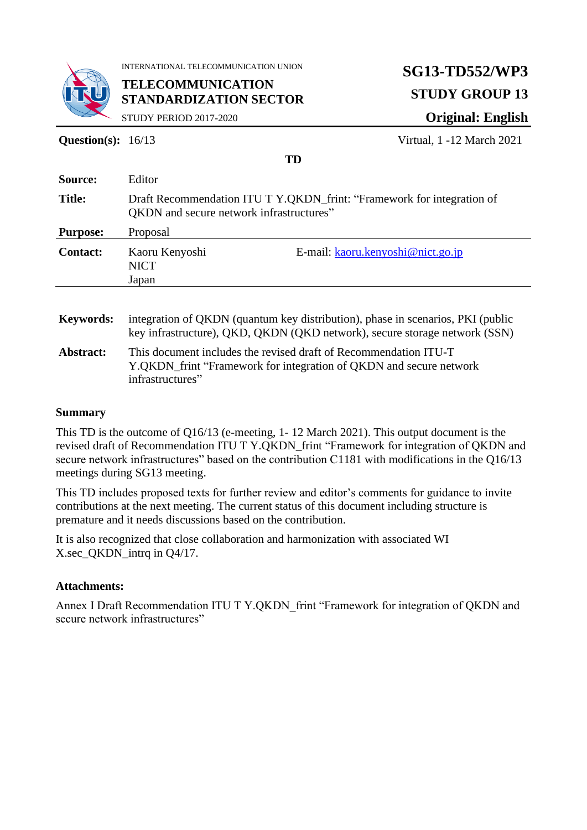

INTERNATIONAL TELECOMMUNICATION UNION

**TELECOMMUNICATION STANDARDIZATION SECTOR**

# **SG13-TD552/WP3 STUDY GROUP 13**

**Original: English**

STUDY PERIOD 2017-2020

**Question(s):** 16/13 Virtual, 1 -12 March 2021

| TD              |                                                                                                                           |                                   |  |  |
|-----------------|---------------------------------------------------------------------------------------------------------------------------|-----------------------------------|--|--|
| <b>Source:</b>  | Editor                                                                                                                    |                                   |  |  |
| <b>Title:</b>   | Draft Recommendation ITU T Y.QKDN_frint: "Framework for integration of<br><b>QKDN</b> and secure network infrastructures" |                                   |  |  |
| <b>Purpose:</b> | Proposal                                                                                                                  |                                   |  |  |
| <b>Contact:</b> | Kaoru Kenyoshi<br><b>NICT</b><br>Japan                                                                                    | E-mail: kaoru.kenyoshi@nict.go.jp |  |  |
|                 |                                                                                                                           |                                   |  |  |

# **Keywords:** integration of QKDN (quantum key distribution), phase in scenarios, PKI (public key infrastructure), QKD, QKDN (QKD network), secure storage network (SSN) **Abstract:** This document includes the revised draft of Recommendation ITU-T Y.QKDN\_frint "Framework for integration of QKDN and secure network infrastructures"

#### **Summary**

This TD is the outcome of Q16/13 (e-meeting, 1- 12 March 2021). This output document is the revised draft of Recommendation ITU T Y.QKDN\_frint "Framework for integration of QKDN and secure network infrastructures" based on the contribution C1181 with modifications in the Q16/13 meetings during SG13 meeting.

This TD includes proposed texts for further review and editor's comments for guidance to invite contributions at the next meeting. The current status of this document including structure is premature and it needs discussions based on the contribution.

It is also recognized that close collaboration and harmonization with associated WI X.sec\_QKDN\_intrq in Q4/17.

#### **Attachments:**

Annex I Draft Recommendation ITU T Y.QKDN frint "Framework for integration of QKDN and secure network infrastructures"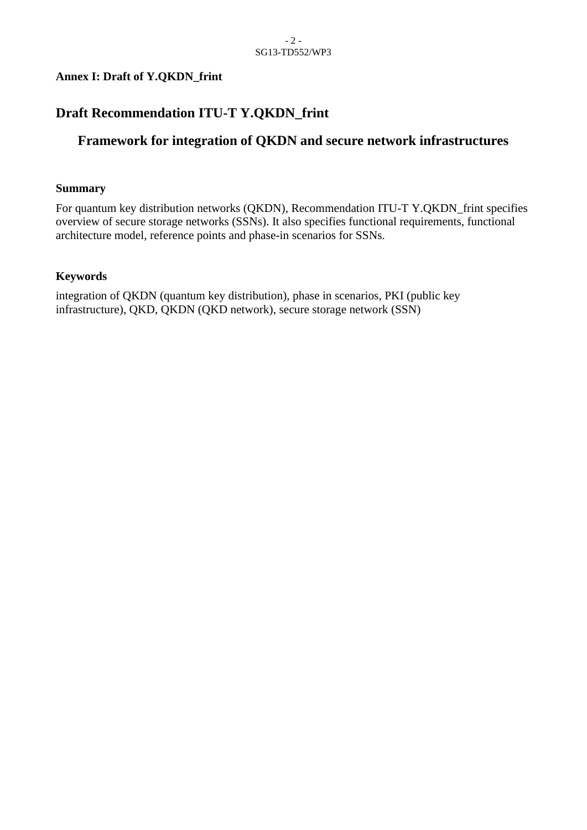# **Annex I: Draft of Y.QKDN\_frint**

# **Draft Recommendation ITU-T Y.QKDN\_frint**

# **Framework for integration of QKDN and secure network infrastructures**

#### **Summary**

For quantum key distribution networks (QKDN), Recommendation ITU-T Y.QKDN\_frint specifies overview of secure storage networks (SSNs). It also specifies functional requirements, functional architecture model, reference points and phase-in scenarios for SSNs.

#### **Keywords**

integration of QKDN (quantum key distribution), phase in scenarios, PKI (public key infrastructure), QKD, QKDN (QKD network), secure storage network (SSN)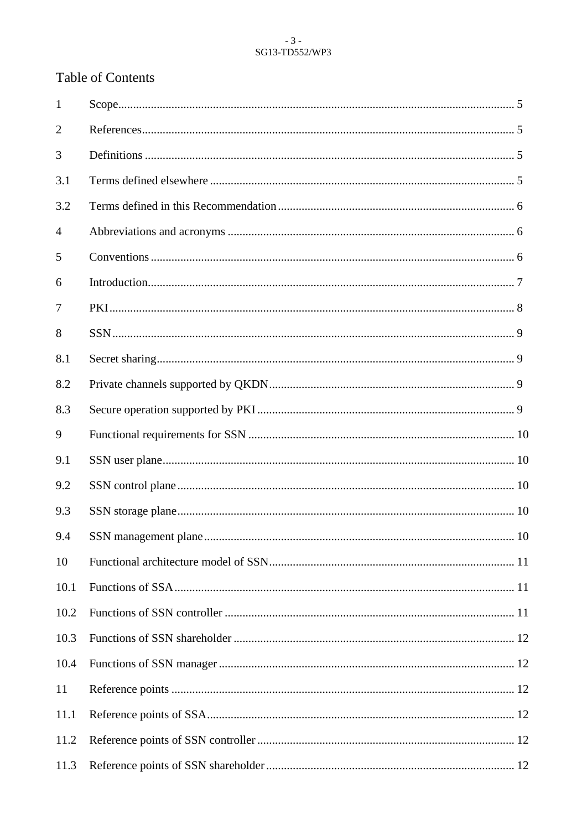#### $-3-$ SG13-TD552/WP3

# Table of Contents

| $\mathbf{1}$   |  |
|----------------|--|
| $\overline{2}$ |  |
| 3              |  |
| 3.1            |  |
| 3.2            |  |
| $\overline{4}$ |  |
| 5              |  |
| 6              |  |
| 7              |  |
| 8              |  |
| 8.1            |  |
| 8.2            |  |
| 8.3            |  |
| 9              |  |
| 9.1            |  |
| 9.2            |  |
| 9.3            |  |
| 9.4            |  |
| 10             |  |
| 10.1           |  |
| 10.2           |  |
| 10.3           |  |
| 10.4           |  |
| 11             |  |
| 11.1           |  |
| 11.2           |  |
| 11.3           |  |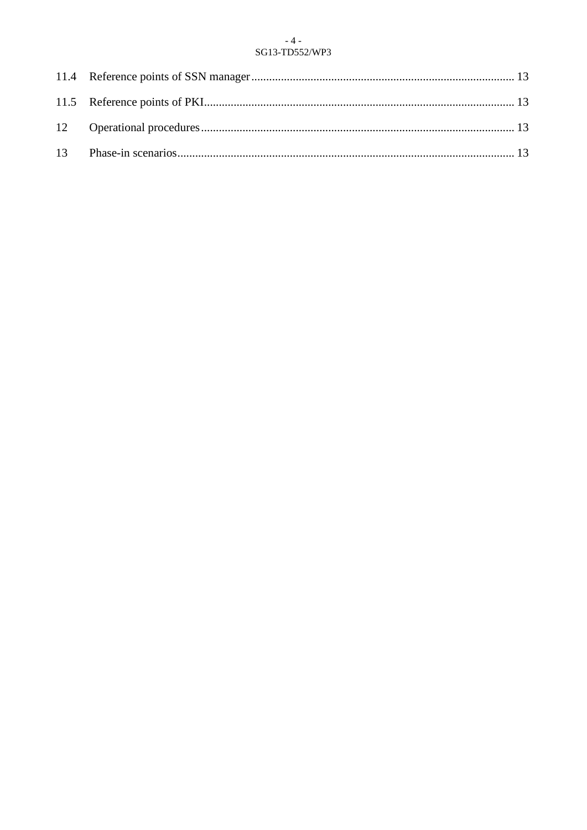#### $-4-$ SG13-TD552/WP3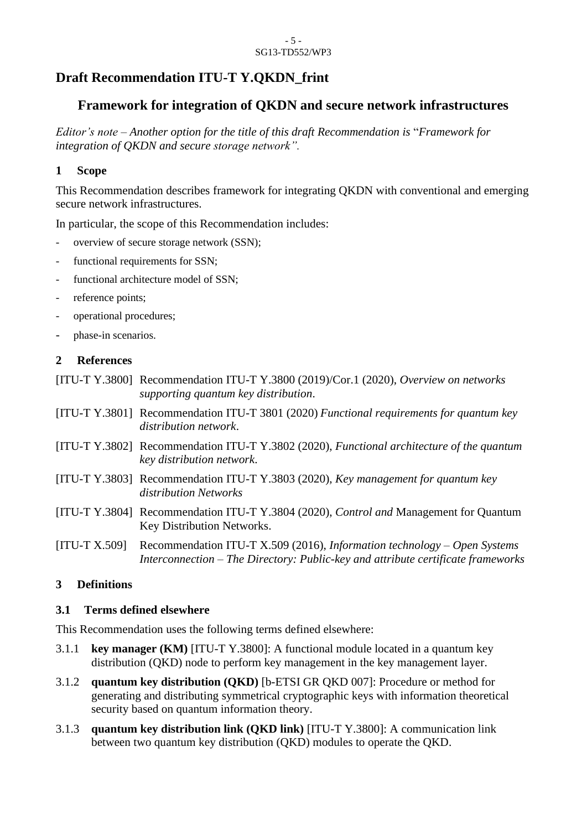#### - 5 - SG13-TD552/WP3

# **Draft Recommendation ITU-T Y.QKDN\_frint**

# **Framework for integration of QKDN and secure network infrastructures**

*Editor's note – Another option for the title of this draft Recommendation is* "*Framework for integration of QKDN and secure storage network".*

# <span id="page-4-0"></span>**1 Scope**

This Recommendation describes framework for integrating QKDN with conventional and emerging secure network infrastructures.

In particular, the scope of this Recommendation includes:

- overview of secure storage network (SSN);
- functional requirements for SSN;
- functional architecture model of SSN;
- reference points;
- operational procedures;
- phase-in scenarios.

### <span id="page-4-1"></span>**2 References**

- [ITU-T Y.3800] Recommendation ITU-T Y.3800 (2019)/Cor.1 (2020), *Overview on networks supporting quantum key distribution*.
- [ITU-T Y.3801] Recommendation ITU-T 3801 (2020) *Functional requirements for quantum key distribution network*.
- [ITU-T Y.3802] Recommendation ITU-T Y.3802 (2020), *Functional architecture of the quantum key distribution network*.
- [ITU-T Y.3803] Recommendation ITU-T Y.3803 (2020), *Key management for quantum key distribution Networks*
- [ITU-T Y.3804] Recommendation ITU-T Y.3804 (2020), *Control and* Management for Quantum Key Distribution Networks.
- [ITU-T X.509] Recommendation ITU-T X.509 (2016), *Information technology – Open Systems Interconnection – The Directory: Public-key and attribute certificate frameworks*

### <span id="page-4-2"></span>**3 Definitions**

### <span id="page-4-3"></span>**3.1 Terms defined elsewhere**

This Recommendation uses the following terms defined elsewhere:

- 3.1.1 **key manager (KM)** [ITU-T Y.3800]: A functional module located in a quantum key distribution (QKD) node to perform key management in the key management layer.
- 3.1.2 **quantum key distribution (QKD)** [b-ETSI GR QKD 007]: Procedure or method for generating and distributing symmetrical cryptographic keys with information theoretical security based on quantum information theory.
- 3.1.3 **quantum key distribution link (QKD link)** [ITU-T Y.3800]: A communication link between two quantum key distribution (QKD) modules to operate the QKD.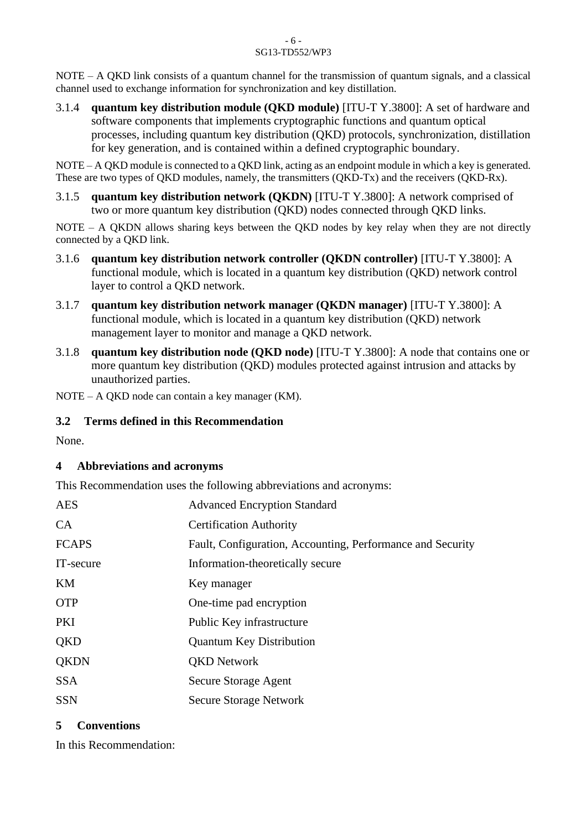#### - 6 - SG13-TD552/WP3

NOTE – A QKD link consists of a quantum channel for the transmission of quantum signals, and a classical channel used to exchange information for synchronization and key distillation.

3.1.4 **quantum key distribution module (QKD module)** [ITU-T Y.3800]: A set of hardware and software components that implements cryptographic functions and quantum optical processes, including quantum key distribution (QKD) protocols, synchronization, distillation for key generation, and is contained within a defined cryptographic boundary.

NOTE – A QKD module is connected to a QKD link, acting as an endpoint module in which a key is generated. These are two types of QKD modules, namely, the transmitters (QKD-Tx) and the receivers (QKD-Rx).

3.1.5 **quantum key distribution network (QKDN)** [ITU-T Y.3800]: A network comprised of two or more quantum key distribution (QKD) nodes connected through QKD links.

NOTE – A QKDN allows sharing keys between the QKD nodes by key relay when they are not directly connected by a QKD link.

- 3.1.6 **quantum key distribution network controller (QKDN controller)** [ITU-T Y.3800]: A functional module, which is located in a quantum key distribution (QKD) network control layer to control a QKD network.
- 3.1.7 **quantum key distribution network manager (QKDN manager)** [ITU-T Y.3800]: A functional module, which is located in a quantum key distribution (QKD) network management layer to monitor and manage a QKD network.
- 3.1.8 **quantum key distribution node (QKD node)** [ITU-T Y.3800]: A node that contains one or more quantum key distribution (QKD) modules protected against intrusion and attacks by unauthorized parties.

NOTE – A QKD node can contain a key manager (KM).

# <span id="page-5-0"></span>**3.2 Terms defined in this Recommendation**

None.

# <span id="page-5-1"></span>**4 Abbreviations and acronyms**

This Recommendation uses the following abbreviations and acronyms:

| <b>AES</b>   | <b>Advanced Encryption Standard</b>                        |
|--------------|------------------------------------------------------------|
| <b>CA</b>    | <b>Certification Authority</b>                             |
| <b>FCAPS</b> | Fault, Configuration, Accounting, Performance and Security |
| IT-secure    | Information-theoretically secure                           |
| KM           | Key manager                                                |
| <b>OTP</b>   | One-time pad encryption                                    |
| PKI          | Public Key infrastructure                                  |
| QKD          | <b>Quantum Key Distribution</b>                            |
| <b>QKDN</b>  | <b>QKD</b> Network                                         |
| <b>SSA</b>   | Secure Storage Agent                                       |
| <b>SSN</b>   | <b>Secure Storage Network</b>                              |

# <span id="page-5-2"></span>**5 Conventions**

In this Recommendation: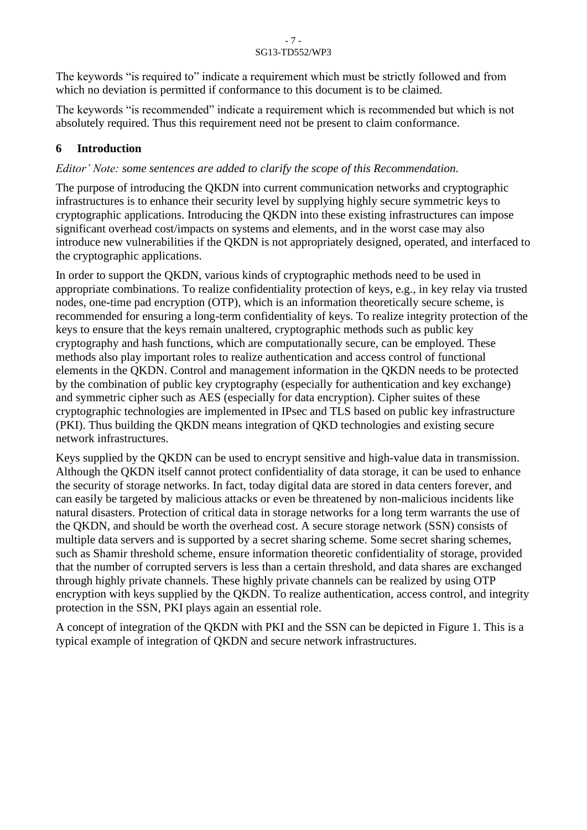#### - 7 - SG13-TD552/WP3

The keywords "is required to" indicate a requirement which must be strictly followed and from which no deviation is permitted if conformance to this document is to be claimed.

The keywords "is recommended" indicate a requirement which is recommended but which is not absolutely required. Thus this requirement need not be present to claim conformance.

# <span id="page-6-0"></span>**6 Introduction**

# *Editor' Note: some sentences are added to clarify the scope of this Recommendation.*

The purpose of introducing the QKDN into current communication networks and cryptographic infrastructures is to enhance their security level by supplying highly secure symmetric keys to cryptographic applications. Introducing the QKDN into these existing infrastructures can impose significant overhead cost/impacts on systems and elements, and in the worst case may also introduce new vulnerabilities if the QKDN is not appropriately designed, operated, and interfaced to the cryptographic applications.

In order to support the QKDN, various kinds of cryptographic methods need to be used in appropriate combinations. To realize confidentiality protection of keys, e.g., in key relay via trusted nodes, one-time pad encryption (OTP), which is an information theoretically secure scheme, is recommended for ensuring a long-term confidentiality of keys. To realize integrity protection of the keys to ensure that the keys remain unaltered, cryptographic methods such as public key cryptography and hash functions, which are computationally secure, can be employed. These methods also play important roles to realize authentication and access control of functional elements in the QKDN. Control and management information in the QKDN needs to be protected by the combination of public key cryptography (especially for authentication and key exchange) and symmetric cipher such as AES (especially for data encryption). Cipher suites of these cryptographic technologies are implemented in IPsec and TLS based on public key infrastructure (PKI). Thus building the QKDN means integration of QKD technologies and existing secure network infrastructures.

Keys supplied by the QKDN can be used to encrypt sensitive and high-value data in transmission. Although the QKDN itself cannot protect confidentiality of data storage, it can be used to enhance the security of storage networks. In fact, today digital data are stored in data centers forever, and can easily be targeted by malicious attacks or even be threatened by non-malicious incidents like natural disasters. Protection of critical data in storage networks for a long term warrants the use of the QKDN, and should be worth the overhead cost. A secure storage network (SSN) consists of multiple data servers and is supported by a secret sharing scheme. Some secret sharing schemes, such as Shamir threshold scheme, ensure information theoretic confidentiality of storage, provided that the number of corrupted servers is less than a certain threshold, and data shares are exchanged through highly private channels. These highly private channels can be realized by using OTP encryption with keys supplied by the QKDN. To realize authentication, access control, and integrity protection in the SSN, PKI plays again an essential role.

A concept of integration of the QKDN with PKI and the SSN can be depicted in Figure 1. This is a typical example of integration of QKDN and secure network infrastructures.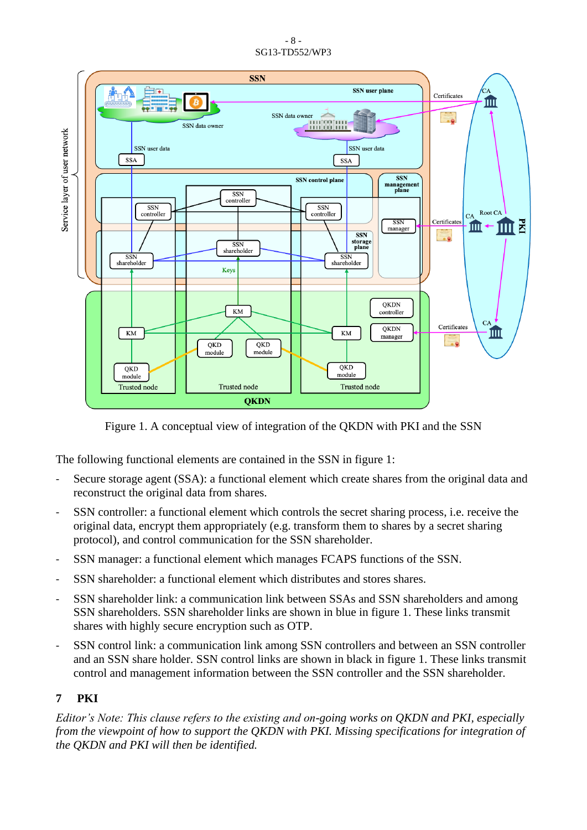#### - 8 - SG13-TD552/WP3



Figure 1. A conceptual view of integration of the QKDN with PKI and the SSN

The following functional elements are contained in the SSN in figure 1:

- Secure storage agent (SSA): a functional element which create shares from the original data and reconstruct the original data from shares.
- SSN controller: a functional element which controls the secret sharing process, i.e. receive the original data, encrypt them appropriately (e.g. transform them to shares by a secret sharing protocol), and control communication for the SSN shareholder.
- SSN manager: a functional element which manages FCAPS functions of the SSN.
- SSN shareholder: a functional element which distributes and stores shares.
- SSN shareholder link: a communication link between SSAs and SSN shareholders and among SSN shareholders. SSN shareholder links are shown in blue in figure 1. These links transmit shares with highly secure encryption such as OTP.
- SSN control link: a communication link among SSN controllers and between an SSN controller and an SSN share holder. SSN control links are shown in black in figure 1. These links transmit control and management information between the SSN controller and the SSN shareholder.

# <span id="page-7-0"></span>**7 PKI**

*Editor's Note: This clause refers to the existing and on-going works on QKDN and PKI, especially from the viewpoint of how to support the QKDN with PKI. Missing specifications for integration of the QKDN and PKI will then be identified.*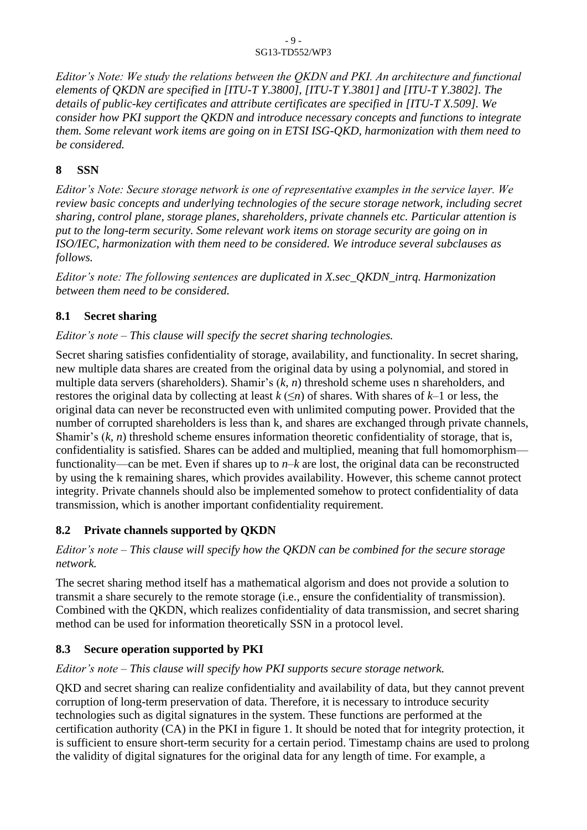#### - 9 - SG13-TD552/WP3

*Editor's Note: We study the relations between the QKDN and PKI. An architecture and functional elements of QKDN are specified in [ITU-T Y.3800], [ITU-T Y.3801] and [ITU-T Y.3802]. The details of public-key certificates and attribute certificates are specified in [ITU-T X.509]. We consider how PKI support the QKDN and introduce necessary concepts and functions to integrate them. Some relevant work items are going on in ETSI ISG-QKD, harmonization with them need to be considered.* 

# <span id="page-8-0"></span>**8 SSN**

*Editor's Note: Secure storage network is one of representative examples in the service layer. We review basic concepts and underlying technologies of the secure storage network, including secret sharing, control plane, storage planes, shareholders, private channels etc. Particular attention is put to the long-term security. Some relevant work items on storage security are going on in ISO/IEC, harmonization with them need to be considered. We introduce several subclauses as follows.*

*Editor's note: The following sentences are duplicated in X.sec\_QKDN\_intrq. Harmonization between them need to be considered.*

# <span id="page-8-1"></span>**8.1 Secret sharing**

# *Editor's note – This clause will specify the secret sharing technologies.*

Secret sharing satisfies confidentiality of storage, availability, and functionality. In secret sharing, new multiple data shares are created from the original data by using a polynomial, and stored in multiple data servers (shareholders). Shamir's (*k, n*) threshold scheme uses n shareholders, and restores the original data by collecting at least  $k \leq n$  of shares. With shares of  $k-1$  or less, the original data can never be reconstructed even with unlimited computing power. Provided that the number of corrupted shareholders is less than k, and shares are exchanged through private channels, Shamir's  $(k, n)$  threshold scheme ensures information theoretic confidentiality of storage, that is, confidentiality is satisfied. Shares can be added and multiplied, meaning that full homomorphism functionality—can be met. Even if shares up to *n–k* are lost, the original data can be reconstructed by using the k remaining shares, which provides availability. However, this scheme cannot protect integrity. Private channels should also be implemented somehow to protect confidentiality of data transmission, which is another important confidentiality requirement.

# <span id="page-8-2"></span>**8.2 Private channels supported by QKDN**

# *Editor's note – This clause will specify how the QKDN can be combined for the secure storage network.*

The secret sharing method itself has a mathematical algorism and does not provide a solution to transmit a share securely to the remote storage (i.e., ensure the confidentiality of transmission). Combined with the QKDN, which realizes confidentiality of data transmission, and secret sharing method can be used for information theoretically SSN in a protocol level.

# <span id="page-8-3"></span>**8.3 Secure operation supported by PKI**

# *Editor's note – This clause will specify how PKI supports secure storage network.*

QKD and secret sharing can realize confidentiality and availability of data, but they cannot prevent corruption of long-term preservation of data. Therefore, it is necessary to introduce security technologies such as digital signatures in the system. These functions are performed at the certification authority (CA) in the PKI in figure 1. It should be noted that for integrity protection, it is sufficient to ensure short-term security for a certain period. Timestamp chains are used to prolong the validity of digital signatures for the original data for any length of time. For example, a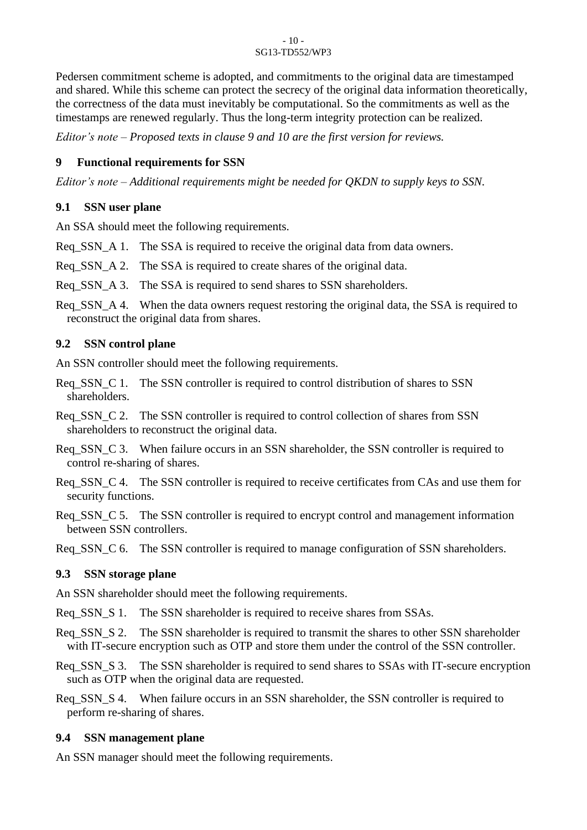Pedersen commitment scheme is adopted, and commitments to the original data are timestamped and shared. While this scheme can protect the secrecy of the original data information theoretically, the correctness of the data must inevitably be computational. So the commitments as well as the timestamps are renewed regularly. Thus the long-term integrity protection can be realized.

*Editor's note – Proposed texts in clause 9 and 10 are the first version for reviews.* 

#### <span id="page-9-0"></span>**9 Functional requirements for SSN**

*Editor's note – Additional requirements might be needed for QKDN to supply keys to SSN.*

#### <span id="page-9-1"></span>**9.1 SSN user plane**

An SSA should meet the following requirements.

- Req\_SSN\_A 1. The SSA is required to receive the original data from data owners.
- Req\_SSN\_A 2. The SSA is required to create shares of the original data.

Req\_SSN\_A 3. The SSA is required to send shares to SSN shareholders.

Req\_SSN\_A 4. When the data owners request restoring the original data, the SSA is required to reconstruct the original data from shares.

#### <span id="page-9-2"></span>**9.2 SSN control plane**

An SSN controller should meet the following requirements.

- Req\_SSN\_C 1. The SSN controller is required to control distribution of shares to SSN shareholders.
- Req SSN C 2. The SSN controller is required to control collection of shares from SSN shareholders to reconstruct the original data.
- Req\_SSN\_C 3. When failure occurs in an SSN shareholder, the SSN controller is required to control re-sharing of shares.
- Req\_SSN\_C 4. The SSN controller is required to receive certificates from CAs and use them for security functions.
- Req\_SSN\_C 5. The SSN controller is required to encrypt control and management information between SSN controllers.

Req\_SSN\_C 6. The SSN controller is required to manage configuration of SSN shareholders.

#### <span id="page-9-3"></span>**9.3 SSN storage plane**

An SSN shareholder should meet the following requirements.

Req\_SSN\_S 1. The SSN shareholder is required to receive shares from SSAs.

Req SSN S 2. The SSN shareholder is required to transmit the shares to other SSN shareholder with IT-secure encryption such as OTP and store them under the control of the SSN controller.

Req\_SSN\_S 3. The SSN shareholder is required to send shares to SSAs with IT-secure encryption such as OTP when the original data are requested.

Req\_SSN\_S 4. When failure occurs in an SSN shareholder, the SSN controller is required to perform re-sharing of shares.

#### <span id="page-9-4"></span>**9.4 SSN management plane**

An SSN manager should meet the following requirements.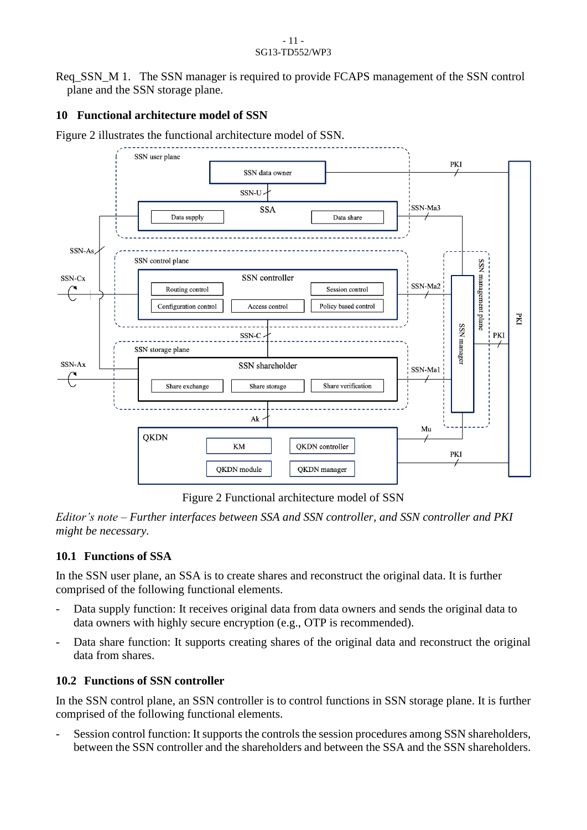#### - 11 - SG13-TD552/WP3

Req\_SSN\_M 1. The SSN manager is required to provide FCAPS management of the SSN control plane and the SSN storage plane.

# <span id="page-10-0"></span>**10 Functional architecture model of SSN**





Figure 2 Functional architecture model of SSN

*Editor's note – Further interfaces between SSA and SSN controller, and SSN controller and PKI might be necessary.*

# <span id="page-10-1"></span>**10.1 Functions of SSA**

In the SSN user plane, an SSA is to create shares and reconstruct the original data. It is further comprised of the following functional elements.

- Data supply function: It receives original data from data owners and sends the original data to data owners with highly secure encryption (e.g., OTP is recommended).
- Data share function: It supports creating shares of the original data and reconstruct the original data from shares.

# <span id="page-10-2"></span>**10.2 Functions of SSN controller**

In the SSN control plane, an SSN controller is to control functions in SSN storage plane. It is further comprised of the following functional elements.

Session control function: It supports the controls the session procedures among SSN shareholders, between the SSN controller and the shareholders and between the SSA and the SSN shareholders.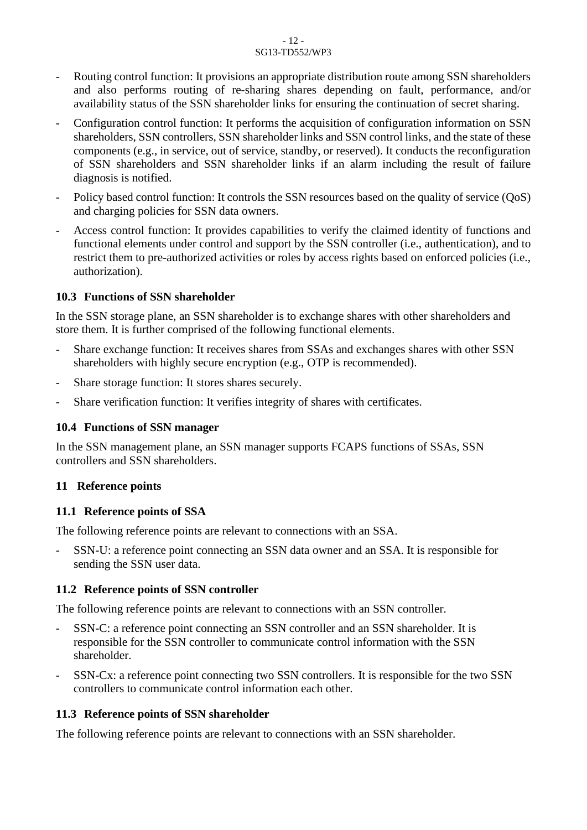#### - 12 - SG13-TD552/WP3

- Routing control function: It provisions an appropriate distribution route among SSN shareholders and also performs routing of re-sharing shares depending on fault, performance, and/or availability status of the SSN shareholder links for ensuring the continuation of secret sharing.
- Configuration control function: It performs the acquisition of configuration information on SSN shareholders, SSN controllers, SSN shareholder links and SSN control links, and the state of these components (e.g., in service, out of service, standby, or reserved). It conducts the reconfiguration of SSN shareholders and SSN shareholder links if an alarm including the result of failure diagnosis is notified.
- Policy based control function: It controls the SSN resources based on the quality of service (QoS) and charging policies for SSN data owners.
- Access control function: It provides capabilities to verify the claimed identity of functions and functional elements under control and support by the SSN controller (i.e., authentication), and to restrict them to pre-authorized activities or roles by access rights based on enforced policies (i.e., authorization).

# <span id="page-11-0"></span>**10.3 Functions of SSN shareholder**

In the SSN storage plane, an SSN shareholder is to exchange shares with other shareholders and store them. It is further comprised of the following functional elements.

- Share exchange function: It receives shares from SSAs and exchanges shares with other SSN shareholders with highly secure encryption (e.g., OTP is recommended).
- Share storage function: It stores shares securely.
- Share verification function: It verifies integrity of shares with certificates.

### <span id="page-11-1"></span>**10.4 Functions of SSN manager**

In the SSN management plane, an SSN manager supports FCAPS functions of SSAs, SSN controllers and SSN shareholders.

### <span id="page-11-2"></span>**11 Reference points**

### <span id="page-11-3"></span>**11.1 Reference points of SSA**

The following reference points are relevant to connections with an SSA.

SSN-U: a reference point connecting an SSN data owner and an SSA. It is responsible for sending the SSN user data.

### <span id="page-11-4"></span>**11.2 Reference points of SSN controller**

The following reference points are relevant to connections with an SSN controller.

- SSN-C: a reference point connecting an SSN controller and an SSN shareholder. It is responsible for the SSN controller to communicate control information with the SSN shareholder.
- SSN-Cx: a reference point connecting two SSN controllers. It is responsible for the two SSN controllers to communicate control information each other.

# <span id="page-11-5"></span>**11.3 Reference points of SSN shareholder**

The following reference points are relevant to connections with an SSN shareholder.